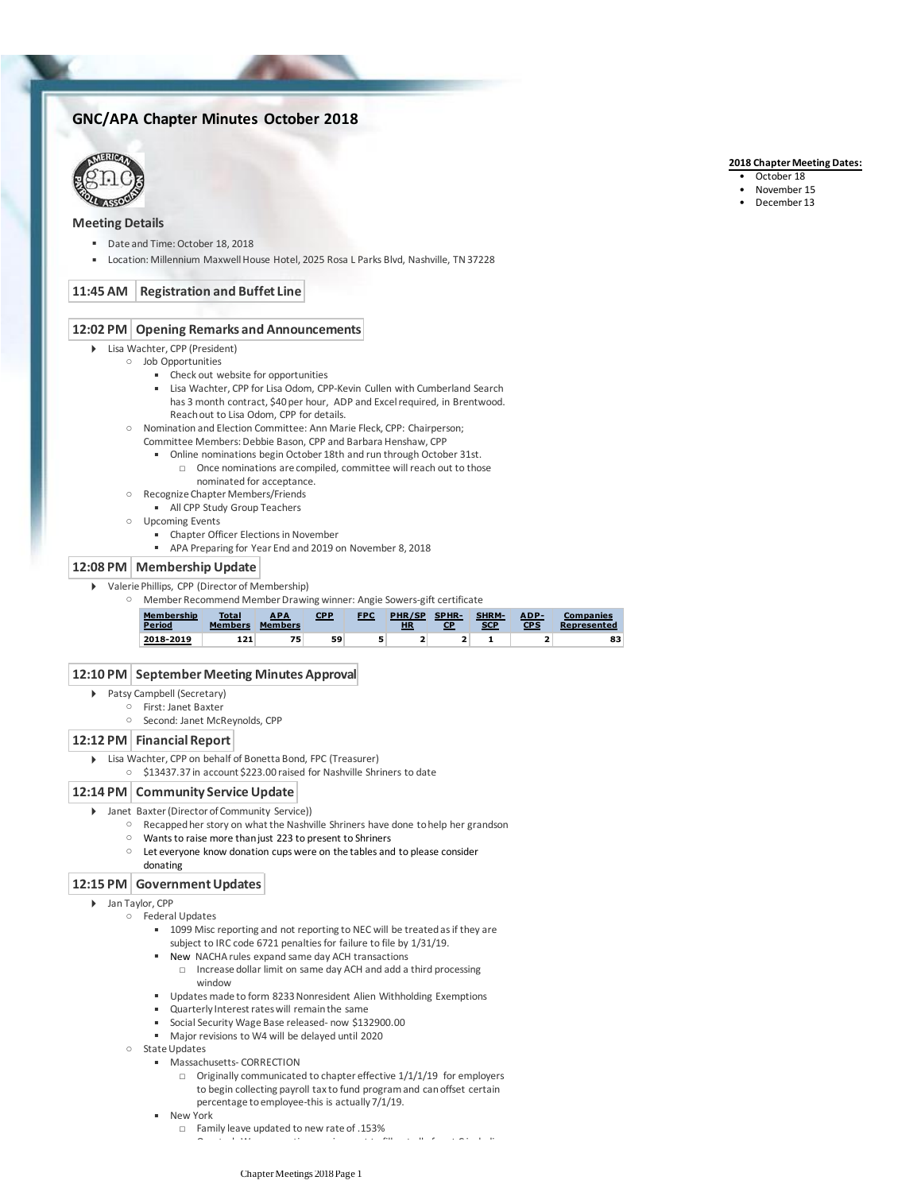# **GNC/APA Chapter Minutes October 2018**



## **Meeting Details**

- Date and Time: October 18, 2018
- Location: Millennium Maxwell House Hotel, 2025 Rosa L Parks Blvd, Nashville, TN 37228

# **11:45 AM Registration and Buffet Line**

### **12:02 PM Opening Remarks and Announcements**

- Lisa Wachter, CPP (President)
	- Job Opportunities
		- Check out website for opportunities
		- Lisa Wachter, CPP for Lisa Odom, CPP-Kevin Cullen with Cumberland Search has 3 month contract, \$40 per hour, ADP and Excel required, in Brentwood. Reach out to Lisa Odom, CPP for details.
		- Nomination and Election Committee: Ann Marie Fleck, CPP: Chairperson;
			- Committee Members: Debbie Bason, CPP and Barbara Henshaw, CPP
				- Once nominations are compiled, committee will reach out to those □ ▪ Online nominations begin October 18th and run through October 31st.
					- nominated for acceptance.
		- Recognize Chapter Members/Friends
			- **E** All CPP Study Group Teachers
		- Upcoming Events
			- **EXECT** Chapter Officer Elections in November
			- APA Preparing for Year End and 2019 on November 8, 2018

#### **12:08 PM Membership Update**

- Valerie Phillips, CPP (Director of Membership)
	- Member Recommend Member Drawing winner: Angie Sowers-gift certificate



#### **12:10 PM September Meeting Minutes Approval**

- Patsy Campbell (Secretary)
	- First: Janet Baxter
		- Second: Janet McReynolds, CPP

### **12:12 PM Financial Report**

- Lisa Wachter, CPP on behalf of Bonetta Bond, FPC (Treasurer)
	- \$13437.37 in account \$223.00 raised for Nashville Shriners to date

## **12:14 PM Community Service Update**

- Janet Baxter (Director of Community Service))
	- Recapped her story on what the Nashville Shriners have done to help her grandson
	- Wants to raise more than just 223 to present to Shriners
	- Let everyone know donation cups were on the tables and to please consider donating

### **12:15 PM Government Updates**

- Jan Taylor, CPP
	- Federal Updates
		- 1099 Misc reporting and not reporting to NEC will be treated as if they are subject to IRC code 6721 penalties for failure to file by 1/31/19.
		- New NACHA rules expand same day ACH transactions
			- □ Increase dollar limit on same day ACH and add a third processing window
		- Updates made to form 8233 Nonresident Alien Withholding Exemptions
		- Quarterly Interest rates will remain the same
		- Social Security Wage Base released- now \$132900.00
		- Major revisions to W4 will be delayed until 2020
		- State Updates
			- **E** Massachusetts- CORRECTION
				- □ Originally communicated to chapter effective 1/1/1/19 for employers to begin collecting payroll tax to fund program and can offset certain percentage to employee-this is actually 7/1/19.
			- New York
				- □ Family leave updated to new rate of .153%
					- □ Quarterly Wage reporting requirement to fill out all of part C including

#### **2018 Chapter Meeting Dates:**

- October 18
- November 15
- December 13